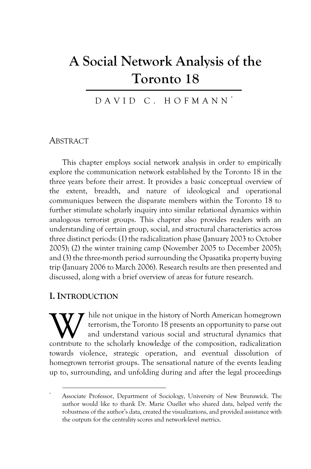# **A Social Network Analysis of the Toronto 18**

DAVID C. HOFMANN \*

#### **ABSTRACT**

This chapter employs social network analysis in order to empirically explore the communication network established by the Toronto 18 in the three years before their arrest. It provides a basic conceptual overview of the extent, breadth, and nature of ideological and operational communiques between the disparate members within the Toronto 18 to further stimulate scholarly inquiry into similar relational dynamics within analogous terrorist groups. This chapter also provides readers with an understanding of certain group, social, and structural characteristics across three distinct periods: (1) the radicalization phase (January 2003 to October 2005); (2) the winter training camp (November 2005 to December 2005); and (3) the three-month period surrounding the Opasatika property buying trip (January 2006 to March 2006). Research results are then presented and discussed, along with a brief overview of areas for future research.

#### **I. INTRODUCTION**

hile not unique in the history of North American homegrown terrorism, the Toronto 18 presents an opportunity to parse out and understand various social and structural dynamics that W hile not unique in the history of North American homegrown<br>terrorism, the Toronto 18 presents an opportunity to parse out<br>and understand various social and structural dynamics that<br>contribute to the scholarly knowledge o towards violence, strategic operation, and eventual dissolution of homegrown terrorist groups. The sensational nature of the events leading up to, surrounding, and unfolding during and after the legal proceedings

<sup>\*</sup> Associate Professor, Department of Sociology, University of New Brunswick. The author would like to thank Dr. Marie Ouellet who shared data, helped verify the robustness of the author's data, created the visualizations, and provided assistance with the outputs for the centrality scores and network-level metrics.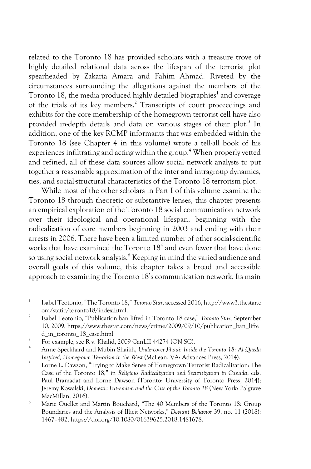related to the Toronto 18 has provided scholars with a treasure trove of highly detailed relational data across the lifespan of the terrorist plot spearheaded by Zakaria Amara and Fahim Ahmad. Riveted by the circumstances surrounding the allegations against the members of the Toronto 18, the media produced highly detailed biographies<sup>1</sup> and coverage of the trials of its key members.2 Transcripts of court proceedings and exhibits for the core membership of the homegrown terrorist cell have also provided in-depth details and data on various stages of their plot.<sup>3</sup> In addition, one of the key RCMP informants that was embedded within the Toronto 18 (see Chapter 4 in this volume) wrote a tell-all book of his experiences infiltrating and acting within the group.<sup>4</sup> When properly vetted and refined, all of these data sources allow social network analysts to put together a reasonable approximation of the inter and intragroup dynamics, ties, and social-structural characteristics of the Toronto 18 terrorism plot.

While most of the other scholars in Part I of this volume examine the Toronto 18 through theoretic or substantive lenses, this chapter presents an empirical exploration of the Toronto 18 social communication network over their ideological and operational lifespan, beginning with the radicalization of core members beginning in 2003 and ending with their arrests in 2006. There have been a limited number of other social-scientific works that have examined the Toronto  $18<sup>5</sup>$  and even fewer that have done so using social network analysis.<sup>6</sup> Keeping in mind the varied audience and overall goals of this volume, this chapter takes a broad and accessible approach to examining the Toronto 18's communication network. Its main

<sup>1</sup> Isabel Teotonio, "The Toronto 18," *Toronto Star*, accessed 2016, http://www3.thestar.c om/static/toronto18/index.html.

<sup>2</sup> Isabel Teotonio, "Publication ban lifted in Toronto 18 case," *Toronto Star*, September 10, 2009, https://www.thestar.com/news/crime/2009/09/10/publication\_ban\_lifte d\_in\_toronto\_18\_case.html

<sup>&</sup>lt;sup>3</sup> For example, see R v. Khalid, 2009 CanLII 44274 (ON SC).<br><sup>4</sup> Anne Speckhard and Mubin Shaikh, *Undercover Jihadi: Inside the Toronto 18: Al Qaeda Inspired, Homegrown Terrorism in the West* (McLean, VA: Advances Press, 2014).

<sup>5</sup> Lorne L. Dawson, "Trying to Make Sense of Homegrown Terrorist Radicalization: The Case of the Toronto 18," in *Religious Radicalization and Securitization in Canada*, eds. Paul Bramadat and Lorne Dawson (Toronto: University of Toronto Press, 2014); Jeremy Kowalski, *Domestic Extremism and the Case of the Toronto 18* (New York: Palgrave MacMillan, 2016).

<sup>6</sup> Marie Ouellet and Martin Bouchard, "The 40 Members of the Toronto 18: Group Boundaries and the Analysis of Illicit Networks," *Deviant Behavior* 39, no. 11 (2018): 1467–482, https://doi.org/10.1080/01639625.2018.1481678.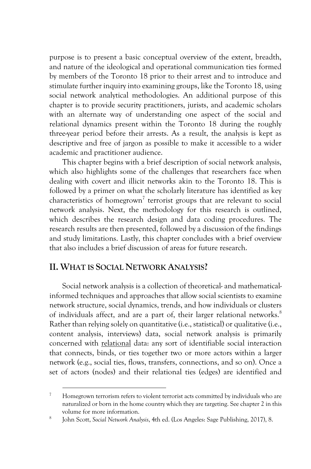purpose is to present a basic conceptual overview of the extent, breadth, and nature of the ideological and operational communication ties formed by members of the Toronto 18 prior to their arrest and to introduce and stimulate further inquiry into examining groups, like the Toronto 18, using social network analytical methodologies. An additional purpose of this chapter is to provide security practitioners, jurists, and academic scholars with an alternate way of understanding one aspect of the social and relational dynamics present within the Toronto 18 during the roughly three-year period before their arrests. As a result, the analysis is kept as descriptive and free of jargon as possible to make it accessible to a wider academic and practitioner audience.

This chapter begins with a brief description of social network analysis, which also highlights some of the challenges that researchers face when dealing with covert and illicit networks akin to the Toronto 18. This is followed by a primer on what the scholarly literature has identified as key characteristics of homegrown<sup>7</sup> terrorist groups that are relevant to social network analysis. Next, the methodology for this research is outlined, which describes the research design and data coding procedures. The research results are then presented, followed by a discussion of the findings and study limitations. Lastly, this chapter concludes with a brief overview that also includes a brief discussion of areas for future research.

## **II. WHAT IS SOCIAL NETWORK ANALYSIS?**

Social network analysis is a collection of theoretical- and mathematicalinformed techniques and approaches that allow social scientists to examine network structure, social dynamics, trends, and how individuals or clusters of individuals affect, and are a part of, their larger relational networks.<sup>8</sup> Rather than relying solely on quantitative (i.e., statistical) or qualitative (i.e., content analysis, interviews) data, social network analysis is primarily concerned with relational data: any sort of identifiable social interaction that connects, binds, or ties together two or more actors within a larger network (e.g., social ties, flows, transfers, connections, and so on). Once a set of actors (nodes) and their relational ties (edges) are identified and

 $7$  Homegrown terrorism refers to violent terrorist acts committed by individuals who are naturalized or born in the home country which they are targeting. See chapter 2 in this volume for more information.

<sup>8</sup> John Scott, *Social Network Analysis*, 4th ed. (Los Angeles: Sage Publishing, 2017), 8.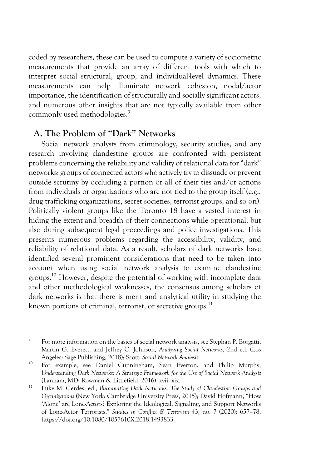coded by researchers, these can be used to compute a variety of sociometric measurements that provide an array of different tools with which to interpret social structural, group, and individual-level dynamics. These measurements can help illuminate network cohesion, nodal/actor importance, the identification of structurally and socially significant actors, and numerous other insights that are not typically available from other commonly used methodologies.<sup>9</sup>

# **A. The Problem of "Dark" Networks**

Social network analysts from criminology, security studies, and any research involving clandestine groups are confronted with persistent problems concerning the reliability and validity of relational data for "dark" networks: groups of connected actors who actively try to dissuade or prevent outside scrutiny by occluding a portion or all of their ties and/or actions from individuals or organizations who are not tied to the group itself (e.g., drug trafficking organizations, secret societies, terrorist groups, and so on). Politically violent groups like the Toronto 18 have a vested interest in hiding the extent and breadth of their connections while operational, but also during subsequent legal proceedings and police investigations. This presents numerous problems regarding the accessibility, validity, and reliability of relational data. As a result, scholars of dark networks have identified several prominent considerations that need to be taken into account when using social network analysis to examine clandestine groups.10 However, despite the potential of working with incomplete data and other methodological weaknesses, the consensus among scholars of dark networks is that there is merit and analytical utility in studying the known portions of criminal, terrorist, or secretive groups. $11$ 

<sup>&</sup>lt;sup>9</sup> For more information on the basics of social network analysis, see Stephan P. Borgatti, Martin G. Everett, and Jeffrey C. Johnson, *Analyzing Social Networks*, 2nd ed. (Los Angeles: Sage Publishing, 2018); Scott, *Social Network Analysis*.

<sup>&</sup>lt;sup>10</sup> For example, see Daniel Cunningham, Sean Everton, and Philip Murphy, *Understanding Dark Networks: A Strategic Framework for the Use of Social Network Analysis* (Lanham, MD: Rowman & Littlefield, 2016), xvii–xix.

<sup>11</sup> Luke M. Gerdes, ed., *Illuminating Dark Networks: The Study of Clandestine Groups and Organizations* (New York: Cambridge University Press, 2015); David Hofmann, "How 'Alone' are Lone-Actors? Exploring the Ideological, Signaling, and Support Networks of Lone-Actor Terrorists," *Studies in Conflict & Terrorism* 43, no. 7 (2020): 657–78, https://doi.org/10.1080/1057610X.2018.1493833.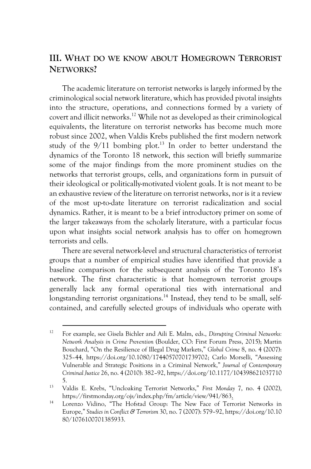# **III. WHAT DO WE KNOW ABOUT HOMEGROWN TERRORIST NETWORKS?**

The academic literature on terrorist networks is largely informed by the criminological social network literature, which has provided pivotal insights into the structure, operations, and connections formed by a variety of covert and illicit networks.12 While not as developed as their criminological equivalents, the literature on terrorist networks has become much more robust since 2002, when Valdis Krebs published the first modern network study of the  $9/11$  bombing plot.<sup>13</sup> In order to better understand the dynamics of the Toronto 18 network, this section will briefly summarize some of the major findings from the more prominent studies on the networks that terrorist groups, cells, and organizations form in pursuit of their ideological or politically-motivated violent goals. It is not meant to be an exhaustive review of the literature on terrorist networks, nor is it a review of the most up-to-date literature on terrorist radicalization and social dynamics. Rather, it is meant to be a brief introductory primer on some of the larger takeaways from the scholarly literature, with a particular focus upon what insights social network analysis has to offer on homegrown terrorists and cells.

There are several network-level and structural characteristics of terrorist groups that a number of empirical studies have identified that provide a baseline comparison for the subsequent analysis of the Toronto 18's network. The first characteristic is that homegrown terrorist groups generally lack any formal operational ties with international and longstanding terrorist organizations.<sup>14</sup> Instead, they tend to be small, selfcontained, and carefully selected groups of individuals who operate with

<sup>12</sup> For example, see Gisela Bichler and Aili E. Malm, eds., *Disrupting Criminal Networks: Network Analysis in Crime Prevention* (Boulder, CO: First Forum Press, 2015); Martin Bouchard, "On the Resilience of Illegal Drug Markets," *Global Crime* 8, no. 4 (2007): 325–44, https://doi.org/10.1080/17440570701739702; Carlo Morselli, "Assessing Vulnerable and Strategic Positions in a Criminal Network," *Journal of Contemporary Criminal Justice* 26, no. 4 (2010): 382–92, https://doi.org/10.1177/104398621037710 5.

<sup>13</sup> Valdis E. Krebs, "Uncloaking Terrorist Networks," *First Monday* 7, no. 4 (2002), https://firstmonday.org/ojs/index.php/fm/article/view/941/863.

<sup>&</sup>lt;sup>14</sup> Lorenzo Vidino, "The Hofstad Group: The New Face of Terrorist Networks in Europe," *Studies in Conflict & Terrorism* 30, no. 7 (2007): 579–92, https://doi.org/10.10 80/1076100701385933.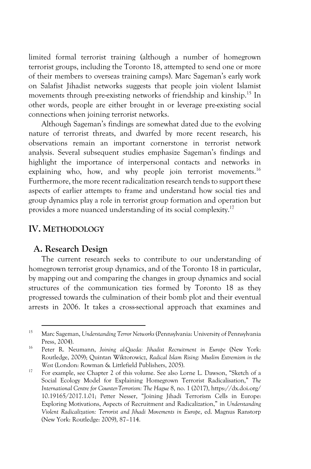limited formal terrorist training (although a number of homegrown terrorist groups, including the Toronto 18, attempted to send one or more of their members to overseas training camps). Marc Sageman's early work on Salafist Jihadist networks suggests that people join violent Islamist movements through pre-existing networks of friendship and kinship.15 In other words, people are either brought in or leverage pre-existing social connections when joining terrorist networks.

Although Sageman's findings are somewhat dated due to the evolving nature of terrorist threats, and dwarfed by more recent research, his observations remain an important cornerstone in terrorist network analysis. Several subsequent studies emphasize Sageman's findings and highlight the importance of interpersonal contacts and networks in explaining who, how, and why people join terrorist movements.<sup>16</sup> Furthermore, the more recent radicalization research tends to support these aspects of earlier attempts to frame and understand how social ties and group dynamics play a role in terrorist group formation and operation but provides a more nuanced understanding of its social complexity.17

#### **IV. METHODOLOGY**

#### **A. Research Design**

The current research seeks to contribute to our understanding of homegrown terrorist group dynamics, and of the Toronto 18 in particular, by mapping out and comparing the changes in group dynamics and social structures of the communication ties formed by Toronto 18 as they progressed towards the culmination of their bomb plot and their eventual arrests in 2006. It takes a cross-sectional approach that examines and

<sup>15</sup> Marc Sageman, *Understanding Terror Networks* (Pennsylvania: University of Pennsylvania Press, 2004).

<sup>16</sup> Peter R. Neumann, *Joining al-Qaeda: Jihadist Recruitment in Europe* (New York: Routledge, 2009); Quintan Wiktorowicz, *Radical Islam Rising: Muslim Extremism in the West* (London: Rowman & Littlefield Publishers, 2005).

<sup>17</sup> For example, see Chapter 2 of this volume. See also Lorne L. Dawson, "Sketch of a Social Ecology Model for Explaining Homegrown Terrorist Radicalisation," *The International Centre for Counter-Terrorism: The Hague* 8, no. 1 (2017), https://dx.doi.org/ 10.19165/2017.1.01; Petter Nesser, "Joining Jihadi Terrorism Cells in Europe: Exploring Motivations, Aspects of Recruitment and Radicalization," in *Understanding Violent Radicalization: Terrorist and Jihadi Movements in Europe*, ed. Magnus Ranstorp (New York: Routledge: 2009), 87–114.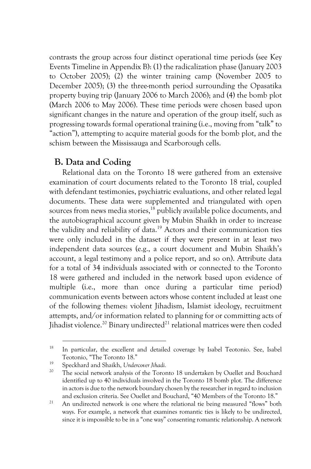contrasts the group across four distinct operational time periods (see Key Events Timeline in Appendix B): (1) the radicalization phase (January 2003 to October 2005); (2) the winter training camp (November 2005 to December 2005); (3) the three-month period surrounding the Opasatika property buying trip (January 2006 to March 2006); and (4) the bomb plot (March 2006 to May 2006). These time periods were chosen based upon significant changes in the nature and operation of the group itself, such as progressing towards formal operational training (i.e., moving from "talk" to "action"), attempting to acquire material goods for the bomb plot, and the schism between the Mississauga and Scarborough cells.

## **B. Data and Coding**

Relational data on the Toronto 18 were gathered from an extensive examination of court documents related to the Toronto 18 trial, coupled with defendant testimonies, psychiatric evaluations, and other related legal documents. These data were supplemented and triangulated with open sources from news media stories,<sup>18</sup> publicly available police documents, and the autobiographical account given by Mubin Shaikh in order to increase the validity and reliability of data.<sup>19</sup> Actors and their communication ties were only included in the dataset if they were present in at least two independent data sources (e.g., a court document and Mubin Shaikh's account, a legal testimony and a police report, and so on). Attribute data for a total of 34 individuals associated with or connected to the Toronto 18 were gathered and included in the network based upon evidence of multiple (i.e., more than once during a particular time period) communication events between actors whose content included at least one of the following themes: violent Jihadism, Islamist ideology, recruitment attempts, and/or information related to planning for or committing acts of Jihadist violence.<sup>20</sup> Binary undirected<sup>21</sup> relational matrices were then coded

<sup>&</sup>lt;sup>18</sup> In particular, the excellent and detailed coverage by Isabel Teotonio. See, Isabel Teotonio, "The Toronto 18."

<sup>19</sup> Speckhard and Shaikh, *Undercover Jihadi.*

The social network analysis of the Toronto 18 undertaken by Ouellet and Bouchard identified up to 40 individuals involved in the Toronto 18 bomb plot. The difference in actors is due to the network boundary chosen by the researcher in regard to inclusion and exclusion criteria. See Ouellet and Bouchard, "40 Members of the Toronto 18."

<sup>&</sup>lt;sup>21</sup> An undirected network is one where the relational tie being measured "flows" both ways. For example, a network that examines romantic ties is likely to be undirected, since it is impossible to be in a "one way" consenting romantic relationship. A network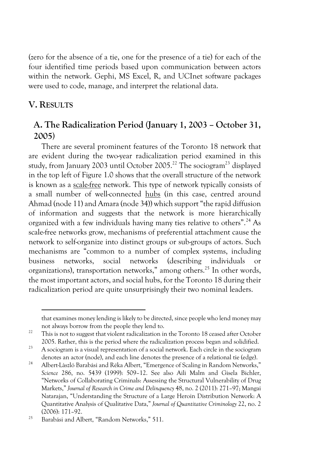(zero for the absence of a tie, one for the presence of a tie) for each of the four identified time periods based upon communication between actors within the network. Gephi, MS Excel, R, and UCInet software packages were used to code, manage, and interpret the relational data.

#### **V. RESULTS**

# **A. The Radicalization Period (January 1, 2003 – October 31, 2005)**

There are several prominent features of the Toronto 18 network that are evident during the two-year radicalization period examined in this study, from January 2003 until October 2005.<sup>22</sup> The sociogram<sup>23</sup> displayed in the top left of Figure 1.0 shows that the overall structure of the network is known as a scale-free network. This type of network typically consists of a small number of well-connected hubs (in this case, centred around Ahmad (node 11) and Amara (node 34)) which support "the rapid diffusion of information and suggests that the network is more hierarchically organized with a few individuals having many ties relative to others".24 As scale-free networks grow, mechanisms of preferential attachment cause the network to self-organize into distinct groups or sub-groups of actors. Such mechanisms are "common to a number of complex systems, including business networks, social networks (describing individuals or organizations), transportation networks," among others.25 In other words, the most important actors, and social hubs, for the Toronto 18 during their radicalization period are quite unsurprisingly their two nominal leaders.

that examines money lending is likely to be directed, since people who lend money may not always borrow from the people they lend to.

 $22$  This is not to suggest that violent radicalization in the Toronto 18 ceased after October 2005. Rather, this is the period where the radicalization process began and solidified.

<sup>&</sup>lt;sup>23</sup> A sociogram is a visual representation of a social network. Each circle in the sociogram denotes an actor (node), and each line denotes the presence of a relational tie (edge).

<sup>24</sup> Albert-Làszló Barabási and Réka Albert, "Emergence of Scaling in Random Networks," *Science* 286, no. 5439 (1999): 509–12. See also Aili Malm and Gisela Bichler, "Networks of Collaborating Criminals: Assessing the Structural Vulnerability of Drug Markets," *Journal of Research in Crime and Delinquency* 48, no. 2 (2011): 271–97; Mangai Natarajan, "Understanding the Structure of a Large Heroin Distribution Network: A Quantitative Analysis of Qualitative Data," *Journal of Quantitative Criminology* 22, no. 2 (2006): 171–92.

<sup>25</sup> Barabási and Albert, "Random Networks," 511.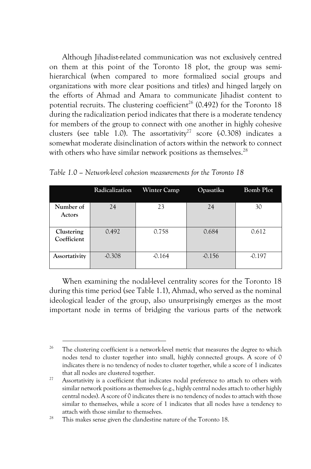Although Jihadist-related communication was not exclusively centred on them at this point of the Toronto 18 plot, the group was semihierarchical (when compared to more formalized social groups and organizations with more clear positions and titles) and hinged largely on the efforts of Ahmad and Amara to communicate Jihadist content to potential recruits. The clustering coefficient<sup>26</sup> (0.492) for the Toronto 18 during the radicalization period indicates that there is a moderate tendency for members of the group to connect with one another in highly cohesive clusters (see table 1.0). The assortativity<sup>27</sup> score  $(0.308)$  indicates a somewhat moderate disinclination of actors within the network to connect with others who have similar network positions as themselves.<sup>28</sup>

|                           | Radicalization | Winter Camp | Opasatika | Bomb Plot |
|---------------------------|----------------|-------------|-----------|-----------|
| Number of<br>Actors       | 24             | 23          | 24        | 30        |
| Clustering<br>Coefficient | 0.492          | 0.758       | 0.684     | 0.612     |
| Assortativity             | $-0.308$       | $-0.164$    | $-0.156$  | $-0.197$  |

*Table 1.0 – Network-level cohesion measurements for the Toronto 18*

When examining the nodal-level centrality scores for the Toronto 18 during this time period (see Table 1.1), Ahmad, who served as the nominal ideological leader of the group, also unsurprisingly emerges as the most important node in terms of bridging the various parts of the network

<sup>&</sup>lt;sup>26</sup> The clustering coefficient is a network-level metric that measures the degree to which nodes tend to cluster together into small, highly connected groups. A score of 0 indicates there is no tendency of nodes to cluster together, while a score of 1 indicates that all nodes are clustered together.

<sup>&</sup>lt;sup>27</sup> Assortativity is a coefficient that indicates nodal preference to attach to others with similar network positions as themselves (e.g., highly central nodes attach to other highly central nodes). A score of 0 indicates there is no tendency of nodes to attach with those similar to themselves, while a score of 1 indicates that all nodes have a tendency to attach with those similar to themselves.

<sup>&</sup>lt;sup>28</sup> This makes sense given the clandestine nature of the Toronto 18.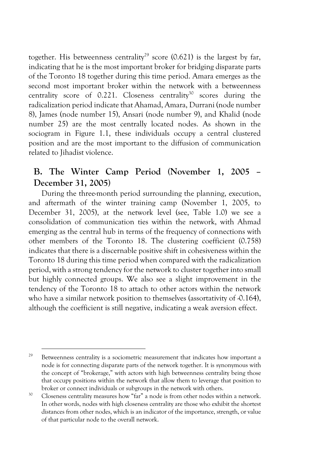together. His betweenness centrality<sup>29</sup> score (0.621) is the largest by far, indicating that he is the most important broker for bridging disparate parts of the Toronto 18 together during this time period. Amara emerges as the second most important broker within the network with a betweenness centrality score of  $0.221$ . Closeness centrality<sup>30</sup> scores during the radicalization period indicate that Ahamad, Amara, Durrani (node number 8), James (node number 15), Ansari (node number 9), and Khalid (node number 25) are the most centrally located nodes. As shown in the sociogram in Figure 1.1, these individuals occupy a central clustered position and are the most important to the diffusion of communication related to Jihadist violence.

# **B. The Winter Camp Period (November 1, 2005 – December 31, 2005)**

During the three-month period surrounding the planning, execution, and aftermath of the winter training camp (November 1, 2005, to December 31, 2005), at the network level (see, Table 1.0) we see a consolidation of communication ties within the network, with Ahmad emerging as the central hub in terms of the frequency of connections with other members of the Toronto 18. The clustering coefficient (0.758) indicates that there is a discernable positive shift in cohesiveness within the Toronto 18 during this time period when compared with the radicalization period, with a strong tendency for the network to cluster together into small but highly connected groups. We also see a slight improvement in the tendency of the Toronto 18 to attach to other actors within the network who have a similar network position to themselves (assortativity of -0.164), although the coefficient is still negative, indicating a weak aversion effect.

<sup>&</sup>lt;sup>29</sup> Betweenness centrality is a sociometric measurement that indicates how important a node is for connecting disparate parts of the network together. It is synonymous with the concept of "brokerage," with actors with high betweenness centrality being those that occupy positions within the network that allow them to leverage that position to broker or connect individuals or subgroups in the network with others.

<sup>&</sup>lt;sup>30</sup> Closeness centrality measures how "far" a node is from other nodes within a network. In other words, nodes with high closeness centrality are those who exhibit the shortest distances from other nodes, which is an indicator of the importance, strength, or value of that particular node to the overall network.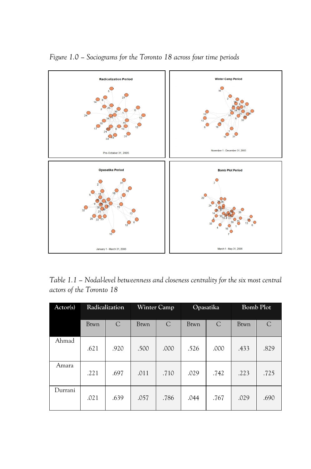

*Figure 1.0 – Sociograms for the Toronto 18 across four time periods* 

*Table 1.1 – Nodal-level betweenness and closeness centrality for the six most central actors of the Toronto 18*

| Actor(s) | Radicalization |      | Winter Camp |      | Opasatika   |      | <b>Bomb Plot</b> |      |
|----------|----------------|------|-------------|------|-------------|------|------------------|------|
|          | <b>Btwn</b>    | C    | Btwn        | C    | <b>Btwn</b> | C    | <b>Btwn</b>      | C    |
| Ahmad    | .621           | .920 | .500        | .000 | .526        | .000 | .433             | .829 |
| Amara    | .221           | .697 | .011        | .710 | .029        | .742 | .223             | .725 |
| Durrani  | .021           | .639 | .057        | .786 | .044        | .767 | .029             | .690 |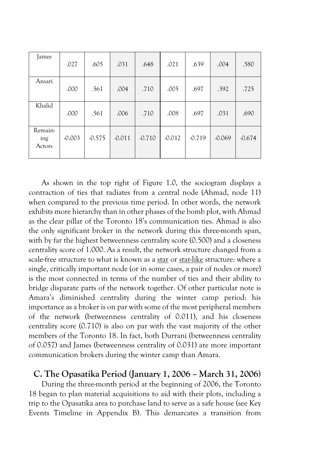| James                    | .027     | .605     | .031     | .648     | .021     | .639     | .004     | .580     |
|--------------------------|----------|----------|----------|----------|----------|----------|----------|----------|
| Ansari                   | .000     | .561     | .004     | .710     | .005     | .697     | .392     | .725     |
| Khalid                   | .000     | .561     | .006     | .710     | .008     | .697     | .031     | .690     |
| Remain-<br>ing<br>Actors | $-0.003$ | $-0.575$ | $-0.011$ | $-0.710$ | $-0.012$ | $-0.719$ | $-0.069$ | $-0.674$ |

As shown in the top right of Figure 1.0, the sociogram displays a contraction of ties that radiates from a central node (Ahmad, node 11) when compared to the previous time period. In other words, the network exhibits more hierarchy than in other phases of the bomb plot, with Ahmad as the clear pillar of the Toronto 18's communication ties. Ahmad is also the only significant broker in the network during this three-month span, with by far the highest betweenness centrality score (0.500) and a closeness centrality score of 1.000. As a result, the network structure changed from a scale-free structure to what is known as a star or star-like structure: where a single, critically important node (or in some cases, a pair of nodes or more) is the most connected in terms of the number of ties and their ability to bridge disparate parts of the network together. Of other particular note is Amara's diminished centrality during the winter camp period: his importance as a broker is on par with some of the most peripheral members of the network (betweenness centrality of 0.011), and his closeness centrality score (0.710) is also on par with the vast majority of the other members of the Toronto 18. In fact, both Durrani (betweenness centrality of 0.057) and James (betweenness centrality of 0.031) are more important communication brokers during the winter camp than Amara.

#### **C. The Opasatika Period (January 1, 2006 – March 31, 2006)**

During the three-month period at the beginning of 2006, the Toronto 18 began to plan material acquisitions to aid with their plots, including a trip to the Opasatika area to purchase land to serve as a safe house (see Key Events Timeline in Appendix B). This demarcates a transition from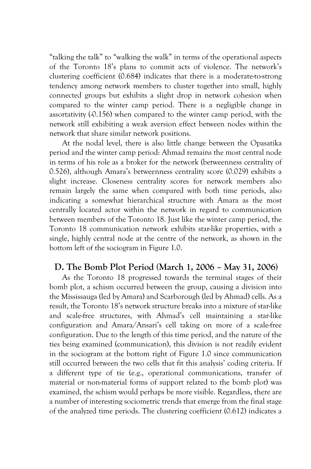"talking the talk" to "walking the walk" in terms of the operational aspects of the Toronto 18's plans to commit acts of violence. The network's clustering coefficient (0.684) indicates that there is a moderate-to-strong tendency among network members to cluster together into small, highly connected groups but exhibits a slight drop in network cohesion when compared to the winter camp period. There is a negligible change in assortativity  $(0.156)$  when compared to the winter camp period, with the network still exhibiting a weak aversion effect between nodes within the network that share similar network positions.

At the nodal level, there is also little change between the Opasatika period and the winter camp period: Ahmad remains the most central node in terms of his role as a broker for the network (betweenness centrality of 0.526), although Amara's betweenness centrality score (0.029) exhibits a slight increase. Closeness centrality scores for network members also remain largely the same when compared with both time periods, also indicating a somewhat hierarchical structure with Amara as the most centrally located actor within the network in regard to communication between members of the Toronto 18. Just like the winter camp period, the Toronto 18 communication network exhibits star-like properties, with a single, highly central node at the centre of the network, as shown in the bottom left of the sociogram in Figure 1.0.

#### **D. The Bomb Plot Period (March 1, 2006 – May 31, 2006)**

As the Toronto 18 progressed towards the terminal stages of their bomb plot, a schism occurred between the group, causing a division into the Mississauga (led by Amara) and Scarborough (led by Ahmad) cells. As a result, the Toronto 18's network structure breaks into a mixture of star-like and scale-free structures, with Ahmad's cell maintaining a star-like configuration and Amara/Ansari's cell taking on more of a scale-free configuration. Due to the length of this time period, and the nature of the ties being examined (communication), this division is not readily evident in the sociogram at the bottom right of Figure 1.0 since communication still occurred between the two cells that fit this analysis' coding criteria. If a different type of tie (e.g., operational communications, transfer of material or non-material forms of support related to the bomb plot) was examined, the schism would perhaps be more visible. Regardless, there are a number of interesting sociometric trends that emerge from the final stage of the analyzed time periods. The clustering coefficient (0.612) indicates a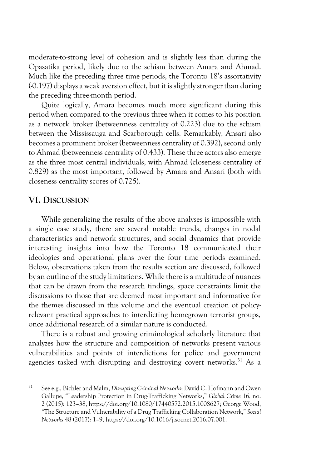moderate-to-strong level of cohesion and is slightly less than during the Opasatika period, likely due to the schism between Amara and Ahmad. Much like the preceding three time periods, the Toronto 18's assortativity (-0.197) displays a weak aversion effect, but it is slightly stronger than during the preceding three-month period.

Quite logically, Amara becomes much more significant during this period when compared to the previous three when it comes to his position as a network broker (betweenness centrality of 0.223) due to the schism between the Mississauga and Scarborough cells. Remarkably, Ansari also becomes a prominent broker (betweenness centrality of 0.392), second only to Ahmad (betweenness centrality of 0.433). These three actors also emerge as the three most central individuals, with Ahmad (closeness centrality of 0.829) as the most important, followed by Amara and Ansari (both with closeness centrality scores of 0.725).

## **VI. DISCUSSION**

While generalizing the results of the above analyses is impossible with a single case study, there are several notable trends, changes in nodal characteristics and network structures, and social dynamics that provide interesting insights into how the Toronto 18 communicated their ideologies and operational plans over the four time periods examined. Below, observations taken from the results section are discussed, followed by an outline of the study limitations. While there is a multitude of nuances that can be drawn from the research findings, space constraints limit the discussions to those that are deemed most important and informative for the themes discussed in this volume and the eventual creation of policyrelevant practical approaches to interdicting homegrown terrorist groups, once additional research of a similar nature is conducted.

There is a robust and growing criminological scholarly literature that analyzes how the structure and composition of networks present various vulnerabilities and points of interdictions for police and government agencies tasked with disrupting and destroying covert networks.<sup>31</sup> As a

<sup>31</sup> See e.g., Bichler and Malm, *Disrupting Criminal Networks*; David C. Hofmann and Owen Gallupe, "Leadership Protection in Drug-Trafficking Networks," *Global Crime* 16, no. 2 (2015): 123–38, https://doi.org/10.1080/17440572.2015.1008627; George Wood, "The Structure and Vulnerability of a Drug Trafficking Collaboration Network," *Social Networks* 48 (2017): 1–9, https://doi.org/10.1016/j.socnet.2016.07.001.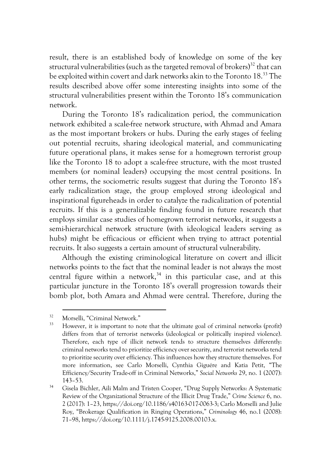result, there is an established body of knowledge on some of the key structural vulnerabilities (such as the targeted removal of brokers) $^{32}$  that can be exploited within covert and dark networks akin to the Toronto 18.33 The results described above offer some interesting insights into some of the structural vulnerabilities present within the Toronto 18's communication network.

During the Toronto 18's radicalization period, the communication network exhibited a scale-free network structure, with Ahmad and Amara as the most important brokers or hubs. During the early stages of feeling out potential recruits, sharing ideological material, and communicating future operational plans, it makes sense for a homegrown terrorist group like the Toronto 18 to adopt a scale-free structure, with the most trusted members (or nominal leaders) occupying the most central positions. In other terms, the sociometric results suggest that during the Toronto 18's early radicalization stage, the group employed strong ideological and inspirational figureheads in order to catalyze the radicalization of potential recruits. If this is a generalizable finding found in future research that employs similar case studies of homegrown terrorist networks, it suggests a semi-hierarchical network structure (with ideological leaders serving as hubs) might be efficacious or efficient when trying to attract potential recruits. It also suggests a certain amount of structural vulnerability.

Although the existing criminological literature on covert and illicit networks points to the fact that the nominal leader is not always the most central figure within a network, $34$  in this particular case, and at this particular juncture in the Toronto 18's overall progression towards their bomb plot, both Amara and Ahmad were central. Therefore, during the

 $32$  Morselli, "Criminal Network."

However, it is important to note that the ultimate goal of criminal networks (profit) differs from that of terrorist networks (ideological or politically inspired violence). Therefore, each type of illicit network tends to structure themselves differently: criminal networks tend to prioritize efficiency over security, and terrorist networks tend to prioritize security over efficiency. This influences how they structure themselves. For more information, see Carlo Morselli, Cynthia Giguére and Katia Petit, "The Efficiency/Security Trade-off in Criminal Networks," *Social Networks* 29, no. 1 (2007): 143–53.

<sup>34</sup> Gisela Bichler, Aili Malm and Tristen Cooper, "Drug Supply Networks: A Systematic Review of the Organizational Structure of the Illicit Drug Trade," *Crime Science* 6, no. 2 (2017): 1–23, https://doi.org/10.1186/s40163-017-0063-3; Carlo Morselli and Julie Roy, "Brokerage Qualification in Ringing Operations," *Criminology* 46, no.1 (2008): 71–98, https://doi.org/10.1111/j.1745-9125.2008.00103.x.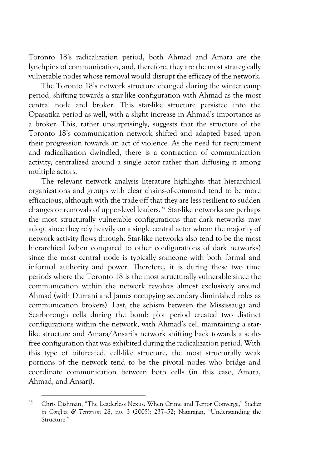Toronto 18's radicalization period, both Ahmad and Amara are the lynchpins of communication, and, therefore, they are the most strategically vulnerable nodes whose removal would disrupt the efficacy of the network.

The Toronto 18's network structure changed during the winter camp period, shifting towards a star-like configuration with Ahmad as the most central node and broker. This star-like structure persisted into the Opasatika period as well, with a slight increase in Ahmad's importance as a broker. This, rather unsurprisingly, suggests that the structure of the Toronto 18's communication network shifted and adapted based upon their progression towards an act of violence. As the need for recruitment and radicalization dwindled, there is a contraction of communication activity, centralized around a single actor rather than diffusing it among multiple actors.

The relevant network analysis literature highlights that hierarchical organizations and groups with clear chains-of-command tend to be more efficacious, although with the trade-off that they are less resilient to sudden changes or removals of upper-level leaders.<sup>35</sup> Star-like networks are perhaps the most structurally vulnerable configurations that dark networks may adopt since they rely heavily on a single central actor whom the majority of network activity flows through. Star-like networks also tend to be the most hierarchical (when compared to other configurations of dark networks) since the most central node is typically someone with both formal and informal authority and power. Therefore, it is during these two time periods where the Toronto 18 is the most structurally vulnerable since the communication within the network revolves almost exclusively around Ahmad (with Durrani and James occupying secondary diminished roles as communication brokers). Last, the schism between the Mississauga and Scarborough cells during the bomb plot period created two distinct configurations within the network, with Ahmad's cell maintaining a starlike structure and Amara/Ansari's network shifting back towards a scalefree configuration that was exhibited during the radicalization period. With this type of bifurcated, cell-like structure, the most structurally weak portions of the network tend to be the pivotal nodes who bridge and coordinate communication between both cells (in this case, Amara, Ahmad, and Ansari).

<sup>35</sup> Chris Dishman, "The Leaderless Nexus: When Crime and Terror Converge," *Studies in Conflict & Terrorism* 28, no. 3 (2005): 237–52; Natarajan, "Understanding the Structure."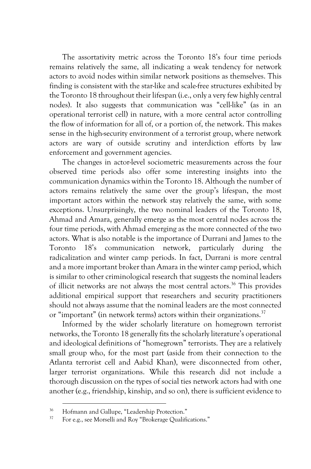The assortativity metric across the Toronto 18's four time periods remains relatively the same, all indicating a weak tendency for network actors to avoid nodes within similar network positions as themselves. This finding is consistent with the star-like and scale-free structures exhibited by the Toronto 18 throughout their lifespan (i.e., only a very few highly central nodes). It also suggests that communication was "cell-like" (as in an operational terrorist cell) in nature, with a more central actor controlling the flow of information for all of, or a portion of, the network. This makes sense in the high-security environment of a terrorist group, where network actors are wary of outside scrutiny and interdiction efforts by law enforcement and government agencies.

The changes in actor-level sociometric measurements across the four observed time periods also offer some interesting insights into the communication dynamics within the Toronto 18. Although the number of actors remains relatively the same over the group's lifespan, the most important actors within the network stay relatively the same, with some exceptions. Unsurprisingly, the two nominal leaders of the Toronto 18, Ahmad and Amara, generally emerge as the most central nodes across the four time periods, with Ahmad emerging as the more connected of the two actors. What is also notable is the importance of Durrani and James to the Toronto 18's communication network, particularly during the radicalization and winter camp periods. In fact, Durrani is more central and a more important broker than Amara in the winter camp period, which is similar to other criminological research that suggests the nominal leaders of illicit networks are not always the most central actors.<sup>36</sup> This provides additional empirical support that researchers and security practitioners should not always assume that the nominal leaders are the most connected or "important" (in network terms) actors within their organizations.<sup>37</sup>

Informed by the wider scholarly literature on homegrown terrorist networks, the Toronto 18 generally fits the scholarly literature's operational and ideological definitions of "homegrown" terrorists. They are a relatively small group who, for the most part (aside from their connection to the Atlanta terrorist cell and Aabid Khan), were disconnected from other, larger terrorist organizations. While this research did not include a thorough discussion on the types of social ties network actors had with one another (e.g., friendship, kinship, and so on), there is sufficient evidence to

<sup>&</sup>lt;sup>36</sup> Hofmann and Gallupe, "Leadership Protection."<br> $\frac{37}{2}$  For a  $\alpha$  as Morselli and Boy "Brokerses Qualify

<sup>37</sup> For e.g., see Morselli and Roy "Brokerage Qualifications."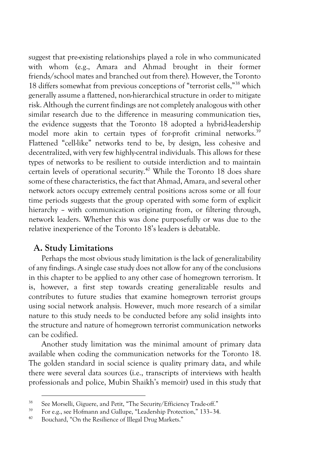suggest that pre-existing relationships played a role in who communicated with whom (e.g., Amara and Ahmad brought in their former friends/school mates and branched out from there). However, the Toronto 18 differs somewhat from previous conceptions of "terrorist cells,"38 which generally assume a flattened, non-hierarchical structure in order to mitigate risk. Although the current findings are not completely analogous with other similar research due to the difference in measuring communication ties, the evidence suggests that the Toronto 18 adopted a hybrid-leadership model more akin to certain types of for-profit criminal networks.<sup>39</sup> Flattened "cell-like" networks tend to be, by design, less cohesive and decentralized, with very few highly-central individuals. This allows for these types of networks to be resilient to outside interdiction and to maintain certain levels of operational security.<sup>40</sup> While the Toronto 18 does share some of these characteristics, the fact that Ahmad, Amara, and several other network actors occupy extremely central positions across some or all four time periods suggests that the group operated with some form of explicit hierarchy – with communication originating from, or filtering through, network leaders. Whether this was done purposefully or was due to the relative inexperience of the Toronto 18's leaders is debatable.

#### **A. Study Limitations**

Perhaps the most obvious study limitation is the lack of generalizability of any findings. A single case study does not allow for any of the conclusions in this chapter to be applied to any other case of homegrown terrorism. It is, however, a first step towards creating generalizable results and contributes to future studies that examine homegrown terrorist groups using social network analysis. However, much more research of a similar nature to this study needs to be conducted before any solid insights into the structure and nature of homegrown terrorist communication networks can be codified.

Another study limitation was the minimal amount of primary data available when coding the communication networks for the Toronto 18. The golden standard in social science is quality primary data, and while there were several data sources (i.e., transcripts of interviews with health professionals and police, Mubin Shaikh's memoir) used in this study that

<sup>&</sup>lt;sup>38</sup> See Morselli, Giguere, and Petit, "The Security/Efficiency Trade-off."

<sup>&</sup>lt;sup>39</sup> For e.g., see Hofmann and Gallupe, "Leadership Protection," 133–34.

Bouchard, "On the Resilience of Illegal Drug Markets."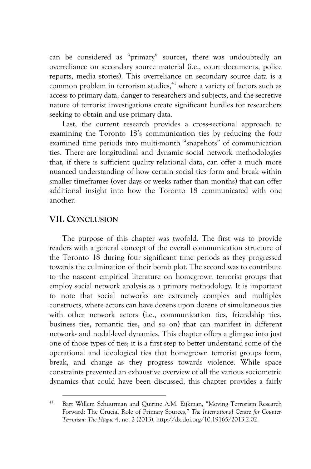can be considered as "primary" sources, there was undoubtedly an overreliance on secondary source material (i.e., court documents, police reports, media stories). This overreliance on secondary source data is a common problem in terrorism studies, $41$  where a variety of factors such as access to primary data, danger to researchers and subjects, and the secretive nature of terrorist investigations create significant hurdles for researchers seeking to obtain and use primary data.

Last, the current research provides a cross-sectional approach to examining the Toronto 18's communication ties by reducing the four examined time periods into multi-month "snapshots" of communication ties. There are longitudinal and dynamic social network methodologies that, if there is sufficient quality relational data, can offer a much more nuanced understanding of how certain social ties form and break within smaller timeframes (over days or weeks rather than months) that can offer additional insight into how the Toronto 18 communicated with one another.

## **VII. CONCLUSION**

The purpose of this chapter was twofold. The first was to provide readers with a general concept of the overall communication structure of the Toronto 18 during four significant time periods as they progressed towards the culmination of their bomb plot. The second was to contribute to the nascent empirical literature on homegrown terrorist groups that employ social network analysis as a primary methodology. It is important to note that social networks are extremely complex and multiplex constructs, where actors can have dozens upon dozens of simultaneous ties with other network actors (i.e., communication ties, friendship ties, business ties, romantic ties, and so on) that can manifest in different network- and nodal-level dynamics. This chapter offers a glimpse into just one of those types of ties; it is a first step to better understand some of the operational and ideological ties that homegrown terrorist groups form, break, and change as they progress towards violence. While space constraints prevented an exhaustive overview of all the various sociometric dynamics that could have been discussed, this chapter provides a fairly

<sup>&</sup>lt;sup>41</sup> Bart Willem Schuurman and Quirine A.M. Eijkman, "Moving Terrorism Research Forward: The Crucial Role of Primary Sources," *The International Centre for Counter-Terrorism: The Hague* 4, no. 2 (2013), http://dx.doi.org/10.19165/2013.2.02.